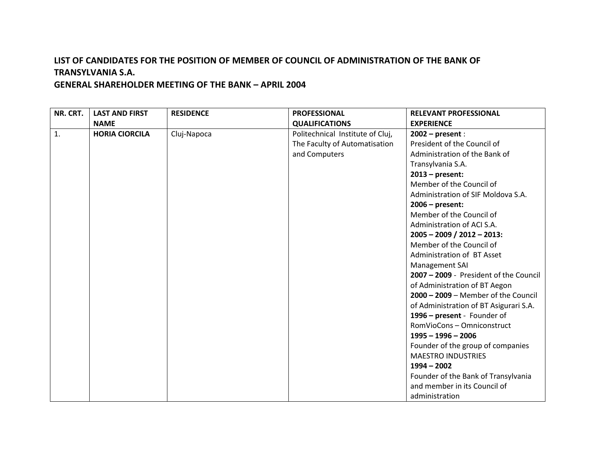| NR. CRT. | <b>LAST AND FIRST</b> | <b>RESIDENCE</b> | <b>PROFESSIONAL</b>              | <b>RELEVANT PROFESSIONAL</b>           |
|----------|-----------------------|------------------|----------------------------------|----------------------------------------|
|          | <b>NAME</b>           |                  | <b>QUALIFICATIONS</b>            | <b>EXPERIENCE</b>                      |
| 1.       | <b>HORIA CIORCILA</b> | Cluj-Napoca      | Politechnical Institute of Cluj, | $2002$ – present :                     |
|          |                       |                  | The Faculty of Automatisation    | President of the Council of            |
|          |                       |                  | and Computers                    | Administration of the Bank of          |
|          |                       |                  |                                  | Transylvania S.A.                      |
|          |                       |                  |                                  | $2013$ – present:                      |
|          |                       |                  |                                  | Member of the Council of               |
|          |                       |                  |                                  | Administration of SIF Moldova S.A.     |
|          |                       |                  |                                  | $2006$ – present:                      |
|          |                       |                  |                                  | Member of the Council of               |
|          |                       |                  |                                  | Administration of ACI S.A.             |
|          |                       |                  |                                  | $2005 - 2009 / 2012 - 2013$ :          |
|          |                       |                  |                                  | Member of the Council of               |
|          |                       |                  |                                  | Administration of BT Asset             |
|          |                       |                  |                                  | Management SAI                         |
|          |                       |                  |                                  | 2007 - 2009 - President of the Council |
|          |                       |                  |                                  | of Administration of BT Aegon          |
|          |                       |                  |                                  | $2000 - 2009$ – Member of the Council  |
|          |                       |                  |                                  | of Administration of BT Asigurari S.A. |
|          |                       |                  |                                  | 1996 - present - Founder of            |
|          |                       |                  |                                  | RomVioCons - Omniconstruct             |
|          |                       |                  |                                  | $1995 - 1996 - 2006$                   |
|          |                       |                  |                                  | Founder of the group of companies      |
|          |                       |                  |                                  | <b>MAESTRO INDUSTRIES</b>              |
|          |                       |                  |                                  | $1994 - 2002$                          |
|          |                       |                  |                                  | Founder of the Bank of Transylvania    |
|          |                       |                  |                                  | and member in its Council of           |
|          |                       |                  |                                  | administration                         |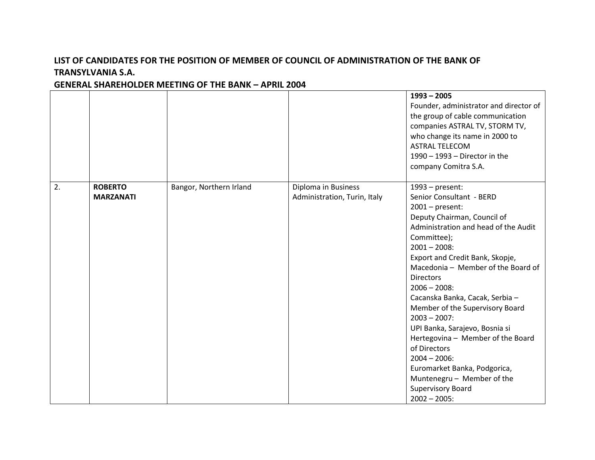|    |                  |                         |                              | $1993 - 2005$                                     |
|----|------------------|-------------------------|------------------------------|---------------------------------------------------|
|    |                  |                         |                              | Founder, administrator and director of            |
|    |                  |                         |                              |                                                   |
|    |                  |                         |                              | the group of cable communication                  |
|    |                  |                         |                              | companies ASTRAL TV, STORM TV,                    |
|    |                  |                         |                              | who change its name in 2000 to                    |
|    |                  |                         |                              | <b>ASTRAL TELECOM</b>                             |
|    |                  |                         |                              | $1990 - 1993 -$ Director in the                   |
|    |                  |                         |                              | company Comitra S.A.                              |
| 2. | <b>ROBERTO</b>   | Bangor, Northern Irland | Diploma in Business          | $1993$ – present:                                 |
|    | <b>MARZANATI</b> |                         | Administration, Turin, Italy | Senior Consultant - BERD                          |
|    |                  |                         |                              | $2001$ – present:                                 |
|    |                  |                         |                              | Deputy Chairman, Council of                       |
|    |                  |                         |                              | Administration and head of the Audit              |
|    |                  |                         |                              | Committee);                                       |
|    |                  |                         |                              | $2001 - 2008$ :                                   |
|    |                  |                         |                              | Export and Credit Bank, Skopje,                   |
|    |                  |                         |                              | Macedonia - Member of the Board of                |
|    |                  |                         |                              | <b>Directors</b>                                  |
|    |                  |                         |                              | $2006 - 2008$ :                                   |
|    |                  |                         |                              | Cacanska Banka, Cacak, Serbia -                   |
|    |                  |                         |                              | Member of the Supervisory Board                   |
|    |                  |                         |                              | $2003 - 2007$ :                                   |
|    |                  |                         |                              |                                                   |
|    |                  |                         |                              | UPI Banka, Sarajevo, Bosnia si                    |
|    |                  |                         |                              | Hertegovina - Member of the Board<br>of Directors |
|    |                  |                         |                              |                                                   |
|    |                  |                         |                              | $2004 - 2006$ :                                   |
|    |                  |                         |                              | Euromarket Banka, Podgorica,                      |
|    |                  |                         |                              | Muntenegru - Member of the                        |
|    |                  |                         |                              | <b>Supervisory Board</b>                          |
|    |                  |                         |                              | $2002 - 2005$ :                                   |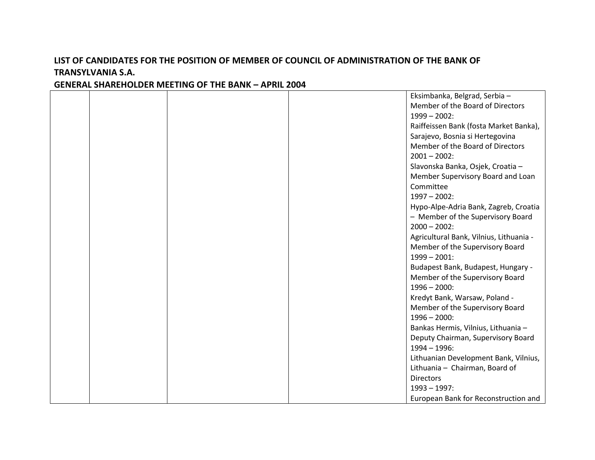### Eksimbanka, Belgrad, Serbia – Member of the Board of Directors 1999 – 2002: Raiffeissen Bank (fosta Market Banka), Sarajevo, Bosnia si Hertegovina Member of the Board of Directors  $2001 - 2002$ : Slavonska Banka, Osjek, Croatia – Member Supervisory Board and Loan Committee 1997 – 2002: Hypo-Alpe-Adria Bank, Zagreb, Croatia – Member of the Supervisory Board 2000 – 2002: Agricultural Bank, Vilnius, Lithuania - Member of the Supervisory Board 1999 – 2001: Budapest Bank, Budapest, Hungary - Member of the Supervisory Board 1996 – 2000: Kredyt Bank, Warsaw, Poland - Member of the Supervisory Board 1996 – 2000: Bankas Hermis, Vilnius, Lithuania – Deputy Chairman, Supervisory Board 1994 – 1996: Lithuanian Development Bank, Vilnius, Lithuania – Chairman, Board of **Directors** 1993 – 1997:

European Bank for Reconstruction and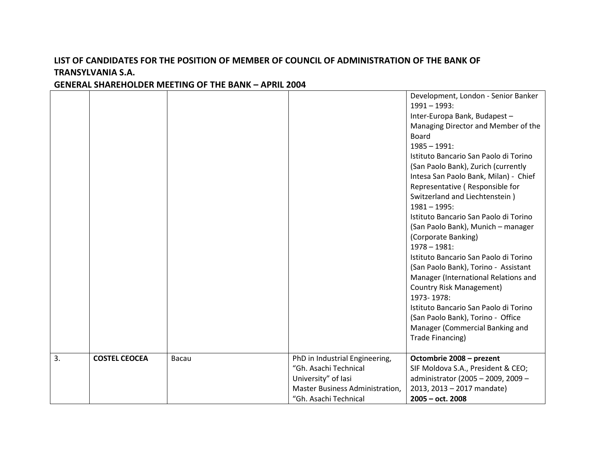#### Development, London - Senior Banker 1991 – 1993: Inter-Europa Bank, Budapest – Managing Director and Member of the Board 1985 – 1991: Istituto Bancario San Paolo di Torino (San Paolo Bank), Zurich (currently Intesa San Paolo Bank, Milan) - Chief Representative ( Responsible for Switzerland and Liechtenstein ) 1981 – 1995: Istituto Bancario San Paolo di Torino (San Paolo Bank), Munich – manager (Corporate Banking) 1978 – 1981: Istituto Bancario San Paolo di Torino (San Paolo Bank), Torino - Assistant Manager (International Relations and Country Risk Management) 1973- 1978: Istituto Bancario San Paolo di Torino (San Paolo Bank), Torino - Office Manager (Commercial Banking and Trade Financing) 3. **COSTEL CEOCEA** Bacau PhD in Industrial Engineering, "Gh. Asachi Technical University" of Iasi Master Business Administration, "Gh. Asachi Technical **Octombrie 2008 – prezent** SIF Moldova S.A., President & CEO; administrator (2005 – 2009, 2009 – 2013, 2013 – 2017 mandate) **2005 – oct. 2008**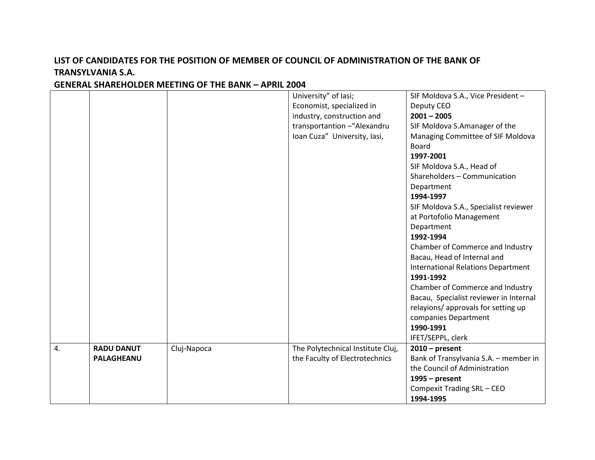#### University" of Iasi; Economist, specialized in industry, construction and transportantion –"Alexandru Ioan Cuza" University, Iasi, SIF Moldova S.A., Vice President – Deputy CEO **2001 – 2005** SIF Moldova S.Amanager of the Managing Committee of SIF Moldova Board **1997-2001** SIF Moldova S.A., Head of Shareholders – Communication Department **1994-1997** SIF Moldova S.A., Specialist reviewer at Portofolio Management Department **1992-1994** Chamber of Commerce and Industry Bacau, Head of Internal and International Relations Department **1991-1992** Chamber of Commerce and Industry Bacau, Specialist reviewer in Internal relayions/ approvals for setting up companies Department **1990-1991** IFET/SEPPL, clerk 4. **RADU DANUT PALAGHEANU** Cluj-Napoca The Polytechnical Institute Cluj, the Faculty of Electrotechnics **2010 – present** Bank of Transylvania S.A. – member in the Council of Administration **1995 – present** Compexit Trading SRL – CEO **1994-1995**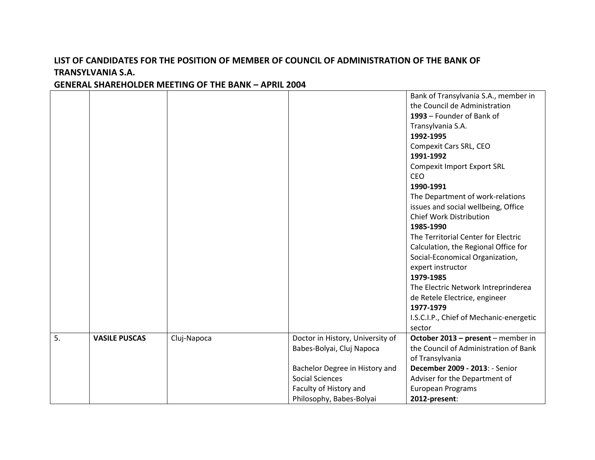#### Bank of Transylvania S.A., member in the Council de Administration **1993** – Founder of Bank of Transylvania S.A. **1992-1995** Compexit Cars SRL, CEO **1991-1992** Compexit Import Export SRL CEO **1990-1991** The Department of work-relations issues and social wellbeing, Office Chief Work Distribution **1985-1990** The Territorial Center for Electric Calculation, the Regional Office for Social-Economical Organization, expert instructor **1979-1985** The Electric Network Intreprinderea de Retele Electrice, engineer **1977-1979** I.S.C.I.P., Chief of Mechanic-energetic sector 5. **VASILE PUSCAS** Cluj-Napoca Doctor in History, University of Babes-Bolyai, Cluj Napoca Bachelor Degree in History and Social Sciences Faculty of History and Philosophy, Babes-Bolyai **October 2013 – present** – member in the Council of Administration of Bank of Transylvania **December 2009 - 2013**: - Senior Adviser for the Department of European Programs **2012-present**: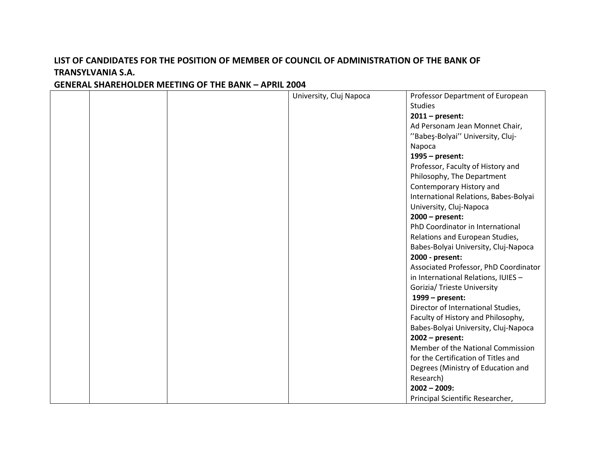|  | University, Cluj Napoca | Professor Department of European      |
|--|-------------------------|---------------------------------------|
|  |                         | <b>Studies</b>                        |
|  |                         | $2011$ – present:                     |
|  |                         | Ad Personam Jean Monnet Chair,        |
|  |                         | "Babes-Bolyai" University, Cluj-      |
|  |                         | Napoca                                |
|  |                         | $1995$ – present:                     |
|  |                         | Professor, Faculty of History and     |
|  |                         | Philosophy, The Department            |
|  |                         | Contemporary History and              |
|  |                         | International Relations, Babes-Bolyai |
|  |                         | University, Cluj-Napoca               |
|  |                         | $2000 - present$ :                    |
|  |                         | PhD Coordinator in International      |
|  |                         | Relations and European Studies,       |
|  |                         | Babes-Bolyai University, Cluj-Napoca  |
|  |                         | 2000 - present:                       |
|  |                         | Associated Professor, PhD Coordinator |
|  |                         | in International Relations, IUIES -   |
|  |                         |                                       |
|  |                         | Gorizia/ Trieste University           |
|  |                         | 1999 - present:                       |
|  |                         | Director of International Studies,    |
|  |                         | Faculty of History and Philosophy,    |
|  |                         | Babes-Bolyai University, Cluj-Napoca  |
|  |                         | $2002$ – present:                     |
|  |                         | Member of the National Commission     |
|  |                         | for the Certification of Titles and   |
|  |                         | Degrees (Ministry of Education and    |
|  |                         | Research)                             |
|  |                         | $2002 - 2009$ :                       |
|  |                         | Principal Scientific Researcher,      |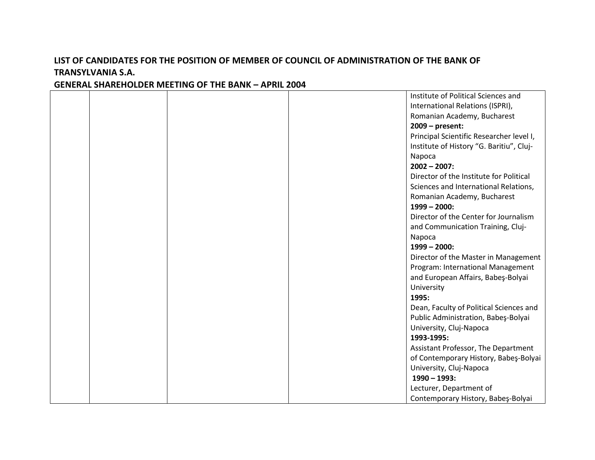|  |  | Institute of Political Sciences and      |
|--|--|------------------------------------------|
|  |  | International Relations (ISPRI),         |
|  |  | Romanian Academy, Bucharest              |
|  |  | $2009$ – present:                        |
|  |  | Principal Scientific Researcher level I, |
|  |  | Institute of History "G. Baritiu", Cluj- |
|  |  | Napoca                                   |
|  |  | $2002 - 2007$ :                          |
|  |  | Director of the Institute for Political  |
|  |  | Sciences and International Relations,    |
|  |  | Romanian Academy, Bucharest              |
|  |  | $1999 - 2000:$                           |
|  |  | Director of the Center for Journalism    |
|  |  | and Communication Training, Cluj-        |
|  |  | Napoca                                   |
|  |  | $1999 - 2000$ :                          |
|  |  | Director of the Master in Management     |
|  |  | Program: International Management        |
|  |  | and European Affairs, Babes-Bolyai       |
|  |  | University                               |
|  |  | 1995:                                    |
|  |  | Dean, Faculty of Political Sciences and  |
|  |  | Public Administration, Babeş-Bolyai      |
|  |  | University, Cluj-Napoca                  |
|  |  | 1993-1995:                               |
|  |  | Assistant Professor, The Department      |
|  |  | of Contemporary History, Babes-Bolyai    |
|  |  | University, Cluj-Napoca                  |
|  |  | $1990 - 1993$ :                          |
|  |  | Lecturer, Department of                  |
|  |  | Contemporary History, Babeş-Bolyai       |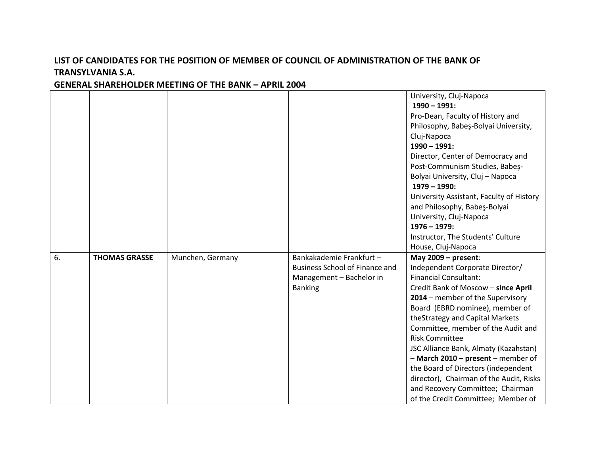|    |                      |                  |                                                                                                                 | University, Cluj-Napoca<br>$1990 - 1991$ :<br>Pro-Dean, Faculty of History and<br>Philosophy, Babeş-Bolyai University,<br>Cluj-Napoca<br>$1990 - 1991$ :<br>Director, Center of Democracy and<br>Post-Communism Studies, Babes-                                                                                                                                                                                                                                                                                                                     |
|----|----------------------|------------------|-----------------------------------------------------------------------------------------------------------------|-----------------------------------------------------------------------------------------------------------------------------------------------------------------------------------------------------------------------------------------------------------------------------------------------------------------------------------------------------------------------------------------------------------------------------------------------------------------------------------------------------------------------------------------------------|
|    |                      |                  |                                                                                                                 | Bolyai University, Cluj - Napoca<br>$1979 - 1990$ :<br>University Assistant, Faculty of History<br>and Philosophy, Babeş-Bolyai<br>University, Cluj-Napoca<br>$1976 - 1979$ :<br>Instructor, The Students' Culture<br>House, Cluj-Napoca                                                                                                                                                                                                                                                                                                            |
| 6. | <b>THOMAS GRASSE</b> | Munchen, Germany | Bankakademie Frankfurt -<br><b>Business School of Finance and</b><br>Management - Bachelor in<br><b>Banking</b> | May $2009$ – present:<br>Independent Corporate Director/<br><b>Financial Consultant:</b><br>Credit Bank of Moscow - since April<br>2014 - member of the Supervisory<br>Board (EBRD nominee), member of<br>theStrategy and Capital Markets<br>Committee, member of the Audit and<br><b>Risk Committee</b><br>JSC Alliance Bank, Almaty (Kazahstan)<br>- March 2010 - present - member of<br>the Board of Directors (independent<br>director), Chairman of the Audit, Risks<br>and Recovery Committee; Chairman<br>of the Credit Committee; Member of |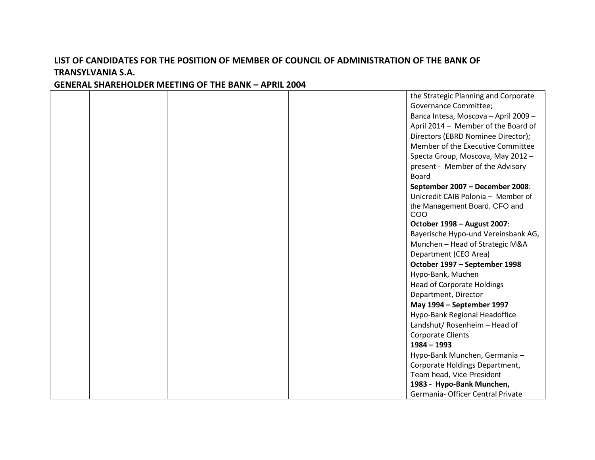|  |  | the Strategic Planning and Corporate |
|--|--|--------------------------------------|
|  |  | <b>Governance Committee;</b>         |
|  |  | Banca Intesa, Moscova - April 2009 - |
|  |  | April 2014 - Member of the Board of  |
|  |  | Directors (EBRD Nominee Director);   |
|  |  | Member of the Executive Committee    |
|  |  | Specta Group, Moscova, May 2012 -    |
|  |  | present - Member of the Advisory     |
|  |  | <b>Board</b>                         |
|  |  | September 2007 - December 2008:      |
|  |  | Unicredit CAIB Polonia - Member of   |
|  |  | the Management Board, CFO and        |
|  |  | COO                                  |
|  |  | October 1998 - August 2007:          |
|  |  | Bayerische Hypo-und Vereinsbank AG,  |
|  |  | Munchen - Head of Strategic M&A      |
|  |  | Department (CEO Area)                |
|  |  | October 1997 - September 1998        |
|  |  | Hypo-Bank, Muchen                    |
|  |  | <b>Head of Corporate Holdings</b>    |
|  |  | Department, Director                 |
|  |  | May 1994 - September 1997            |
|  |  | Hypo-Bank Regional Headoffice        |
|  |  | Landshut/ Rosenheim - Head of        |
|  |  | <b>Corporate Clients</b>             |
|  |  | $1984 - 1993$                        |
|  |  | Hypo-Bank Munchen, Germania -        |
|  |  | Corporate Holdings Department,       |
|  |  | Team head, Vice President            |
|  |  | 1983 - Hypo-Bank Munchen,            |
|  |  | Germania- Officer Central Private    |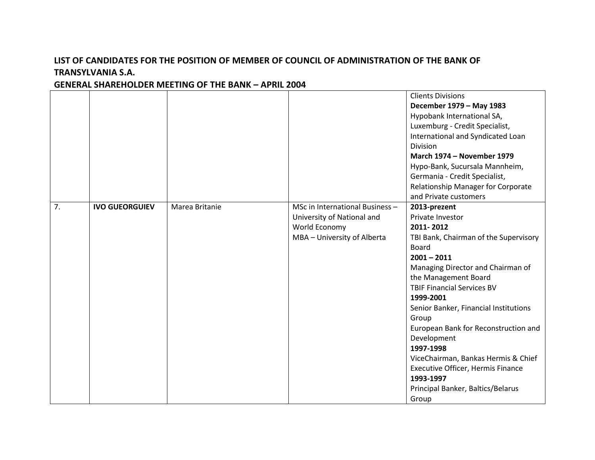|    |                       |                |                                                                                                               | <b>Clients Divisions</b><br>December 1979 - May 1983<br>Hypobank International SA,<br>Luxemburg - Credit Specialist,<br>International and Syndicated Loan<br>Division<br><b>March 1974 - November 1979</b><br>Hypo-Bank, Sucursala Mannheim,<br>Germania - Credit Specialist,<br>Relationship Manager for Corporate<br>and Private customers                                                                                                                                                 |
|----|-----------------------|----------------|---------------------------------------------------------------------------------------------------------------|----------------------------------------------------------------------------------------------------------------------------------------------------------------------------------------------------------------------------------------------------------------------------------------------------------------------------------------------------------------------------------------------------------------------------------------------------------------------------------------------|
| 7. | <b>IVO GUEORGUIEV</b> | Marea Britanie | MSc in International Business -<br>University of National and<br>World Economy<br>MBA - University of Alberta | 2013-prezent<br>Private Investor<br>2011-2012<br>TBI Bank, Chairman of the Supervisory<br>Board<br>$2001 - 2011$<br>Managing Director and Chairman of<br>the Management Board<br><b>TBIF Financial Services BV</b><br>1999-2001<br>Senior Banker, Financial Institutions<br>Group<br>European Bank for Reconstruction and<br>Development<br>1997-1998<br>ViceChairman, Bankas Hermis & Chief<br>Executive Officer, Hermis Finance<br>1993-1997<br>Principal Banker, Baltics/Belarus<br>Group |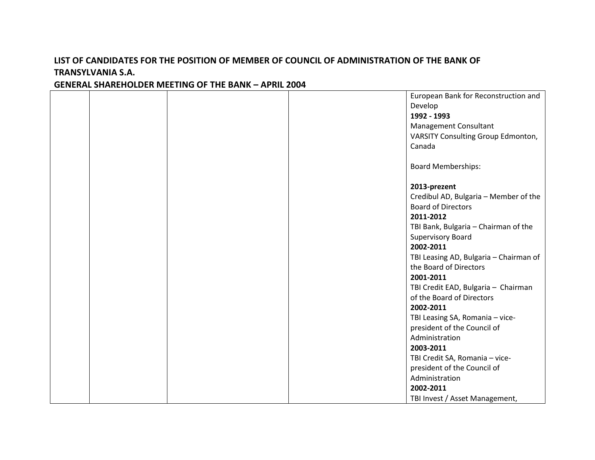|  |  | European Bank for Reconstruction and   |
|--|--|----------------------------------------|
|  |  | Develop                                |
|  |  | 1992 - 1993                            |
|  |  | Management Consultant                  |
|  |  | VARSITY Consulting Group Edmonton,     |
|  |  | Canada                                 |
|  |  |                                        |
|  |  | <b>Board Memberships:</b>              |
|  |  |                                        |
|  |  | 2013-prezent                           |
|  |  | Credibul AD, Bulgaria - Member of the  |
|  |  | <b>Board of Directors</b>              |
|  |  | 2011-2012                              |
|  |  | TBI Bank, Bulgaria - Chairman of the   |
|  |  | Supervisory Board                      |
|  |  | 2002-2011                              |
|  |  | TBI Leasing AD, Bulgaria - Chairman of |
|  |  | the Board of Directors                 |
|  |  | 2001-2011                              |
|  |  | TBI Credit EAD, Bulgaria - Chairman    |
|  |  | of the Board of Directors              |
|  |  | 2002-2011                              |
|  |  | TBI Leasing SA, Romania - vice-        |
|  |  | president of the Council of            |
|  |  | Administration                         |
|  |  | 2003-2011                              |
|  |  | TBI Credit SA, Romania - vice-         |
|  |  | president of the Council of            |
|  |  | Administration                         |
|  |  | 2002-2011                              |
|  |  | TBI Invest / Asset Management,         |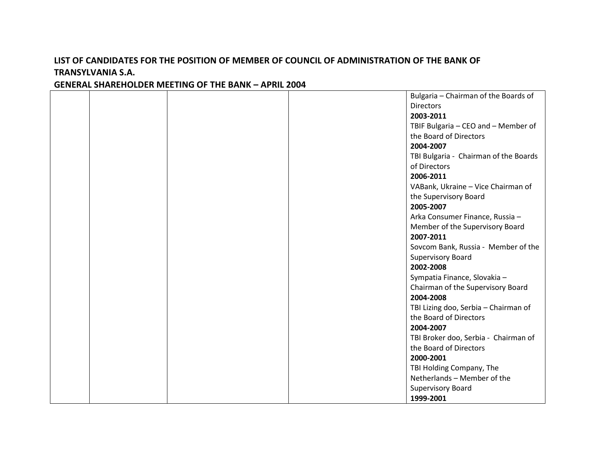|  |  | Bulgaria - Chairman of the Boards of  |
|--|--|---------------------------------------|
|  |  | <b>Directors</b>                      |
|  |  | 2003-2011                             |
|  |  | TBIF Bulgaria - CEO and - Member of   |
|  |  | the Board of Directors                |
|  |  | 2004-2007                             |
|  |  | TBI Bulgaria - Chairman of the Boards |
|  |  | of Directors                          |
|  |  | 2006-2011                             |
|  |  | VABank, Ukraine - Vice Chairman of    |
|  |  | the Supervisory Board                 |
|  |  | 2005-2007                             |
|  |  | Arka Consumer Finance, Russia -       |
|  |  | Member of the Supervisory Board       |
|  |  | 2007-2011                             |
|  |  | Sovcom Bank, Russia - Member of the   |
|  |  | <b>Supervisory Board</b>              |
|  |  | 2002-2008                             |
|  |  | Sympatia Finance, Slovakia -          |
|  |  | Chairman of the Supervisory Board     |
|  |  | 2004-2008                             |
|  |  | TBI Lizing doo, Serbia - Chairman of  |
|  |  | the Board of Directors                |
|  |  | 2004-2007                             |
|  |  | TBI Broker doo, Serbia - Chairman of  |
|  |  | the Board of Directors                |
|  |  | 2000-2001                             |
|  |  | TBI Holding Company, The              |
|  |  | Netherlands - Member of the           |
|  |  | Supervisory Board                     |
|  |  | 1999-2001                             |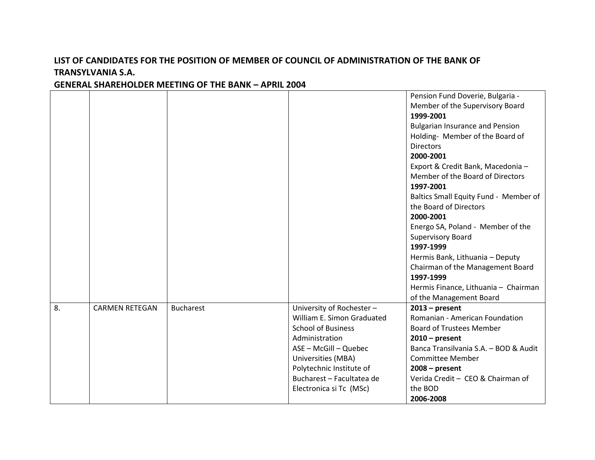#### Pension Fund Doverie, Bulgaria - Member of the Supervisory Board **1999-2001** Bulgarian Insurance and Pension Holding- Member of the Board of **Directors 2000-2001** Export & Credit Bank, Macedonia – Member of the Board of Directors **1997-2001** Baltics Small Equity Fund - Member of the Board of Directors **2000-2001** Energo SA, Poland - Member of the Supervisory Board **1997-1999** Hermis Bank, Lithuania – Deputy Chairman of the Management Board **1997-1999** Hermis Finance, Lithuania – Chairman of the Management Board 8. CARMEN RETEGAN Bucharest CHARMEN RETEGAN BUCHARD University of Rochester – William E. Simon Graduated School of Business Administration ASE – McGill – Quebec Universities (MBA) Polytechnic Institute of Bucharest – Facultatea de Electronica si Tc (MSc) **2013 – present** Romanian - American Foundation Board of Trustees Member **2010 – present** Banca Transilvania S.A. – BOD & Audit Committee Member **2008 – present** Verida Credit – CEO & Chairman of the BOD **2006-2008**